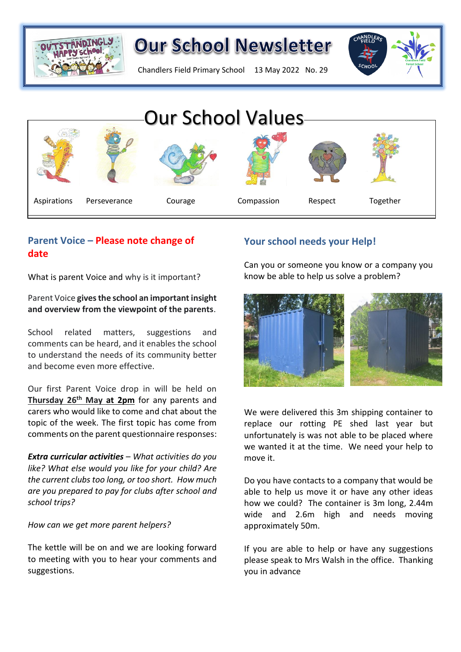

Chandlers Field Primary School 13 May 2022 No. 29





### **Parent Voice – Please note change of date**

What is parent Voice and why is it important?

**Parent Voice gives the school an important insight Aspirations Persecutive Courage Courage Courage Courage Courage Courage Courage Courage Courage Courage Courage Courage Courage Courage Courage Courage Courage Courage and overview from the viewpoint of the parents**.

School related matters, suggestions and comments can be heard, and it enables the school to understand the needs of its community better and become even more effective.

Our first Parent Voice drop in will be held on **Thursday 26th May at 2pm** for any parents and carers who would like to come and chat about the topic of the week. The first topic has come from comments on the parent questionnaire responses:

*Extra curricular activities – What activities do you like? What else would you like for your child? Are the current clubs too long, or too short. How much are you prepared to pay for clubs after school and school trips?*

*How can we get more parent helpers?*

The kettle will be on and we are looking forward to meeting with you to hear your comments and suggestions.

## **Your school needs your Help!**

Can you or someone you know or a company you know be able to help us solve a problem?



We were delivered this 3m shipping container to replace our rotting PE shed last year but unfortunately is was not able to be placed where we wanted it at the time. We need your help to move it.

Do you have contacts to a company that would be able to help us move it or have any other ideas how we could? The container is 3m long, 2.44m wide and 2.6m high and needs moving approximately 50m.

If you are able to help or have any suggestions please speak to Mrs Walsh in the office. Thanking you in advance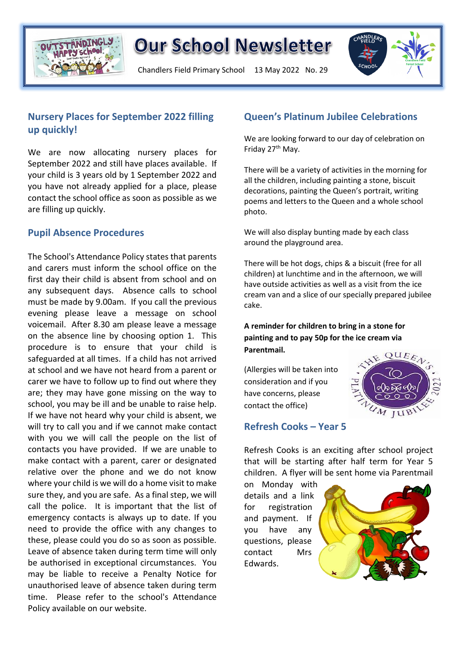

Chandlers Field Primary School 13 May 2022 No. 29



### **Nursery Places for September 2022 filling up quickly!**

We are now allocating nursery places for September 2022 and still have places available. If your child is 3 years old by 1 September 2022 and you have not already applied for a place, please contact the school office as soon as possible as we are filling up quickly.

#### **Pupil Absence Procedures**

The School's Attendance Policy states that parents and carers must inform the school office on the first day their child is absent from school and on any subsequent days. Absence calls to school must be made by 9.00am. If you call the previous evening please leave a message on school voicemail. After 8.30 am please leave a message on the absence line by choosing option 1. This procedure is to ensure that your child is safeguarded at all times. If a child has not arrived at school and we have not heard from a parent or carer we have to follow up to find out where they are; they may have gone missing on the way to school, you may be ill and be unable to raise help. If we have not heard why your child is absent, we will try to call you and if we cannot make contact with you we will call the people on the list of contacts you have provided. If we are unable to make contact with a parent, carer or designated relative over the phone and we do not know where your child is we will do a home visit to make sure they, and you are safe. As a final step, we will call the police. It is important that the list of emergency contacts is always up to date. If you need to provide the office with any changes to these, please could you do so as soon as possible. Leave of absence taken during term time will only be authorised in exceptional circumstances. You may be liable to receive a Penalty Notice for unauthorised leave of absence taken during term time. Please refer to the school's Attendance Policy available on our website.

#### **Queen's Platinum Jubilee Celebrations**

We are looking forward to our day of celebration on Friday 27<sup>th</sup> May.

There will be a variety of activities in the morning for all the children, including painting a stone, biscuit decorations, painting the Queen's portrait, writing poems and letters to the Queen and a whole school photo.

We will also display bunting made by each class around the playground area.

There will be hot dogs, chips & a biscuit (free for all children) at lunchtime and in the afternoon, we will have outside activities as well as a visit from the ice cream van and a slice of our specially prepared jubilee cake.

#### **A reminder for children to bring in a stone for painting and to pay 50p for the ice cream via Parentmail.**

(Allergies will be taken into consideration and if you have concerns, please contact the office)



#### **Refresh Cooks – Year 5**

Refresh Cooks is an exciting after school project that will be starting after half term for Year 5 children. A flyer will be sent home via Parentmail

on Monday with details and a link for registration and payment. If you have any questions, please contact Mrs Edwards.

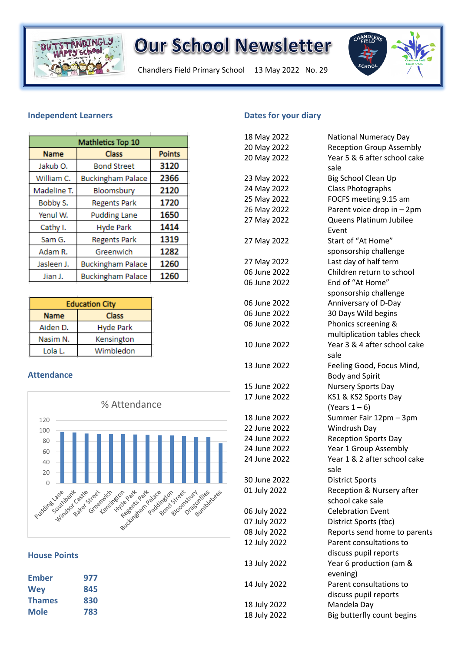

Chandlers Field Primary School 13 May 2022 No. 29



#### **Independent Learners**

| Mathletics Top 10    |                          |               |
|----------------------|--------------------------|---------------|
| <b>Name</b>          | <b>Class</b>             | <b>Points</b> |
| Jakub <sub>O</sub> . | <b>Bond Street</b>       | 3120          |
| William C.           | <b>Buckingham Palace</b> | 2366          |
| Madeline T.          | Bloomsbury               | 2120          |
| Bobby S.             | <b>Regents Park</b>      | 1720          |
| Yenul W.             | <b>Pudding Lane</b>      | 1650          |
| Cathy I.             | <b>Hyde Park</b>         | 1414          |
| Sam G.               | <b>Regents Park</b>      | 1319          |
| Adam R.              | Greenwich                | 1282          |
| Jasleen J.           | <b>Buckingham Palace</b> | 1260          |
| Jian J.              | <b>Buckingham Palace</b> | 1260          |

| <b>Education City</b> |                  |  |
|-----------------------|------------------|--|
| <b>Name</b>           | <b>Class</b>     |  |
| Aiden D.              | <b>Hyde Park</b> |  |
| Nasim N.              | Kensington       |  |
| Lola L.               | Wimbledon        |  |

#### **Attendance**



#### **House Points**

| Ember         | 977 |
|---------------|-----|
| <b>Wey</b>    | 845 |
| <b>Thames</b> | 830 |
| <b>Mole</b>   | 783 |

#### **Dates for your diary**

| 18 May 2022  | <b>National Numeracy Day</b>    |
|--------------|---------------------------------|
| 20 May 2022  | <b>Reception Group Assembly</b> |
| 20 May 2022  | Year 5 & 6 after school cake    |
|              | sale                            |
| 23 May 2022  | <b>Big School Clean Up</b>      |
| 24 May 2022  | Class Photographs               |
| 25 May 2022  | FOCFS meeting 9.15 am           |
| 26 May 2022  | Parent voice drop in - 2pm      |
| 27 May 2022  | Queens Platinum Jubilee         |
|              | Event                           |
| 27 May 2022  | Start of "At Home"              |
|              | sponsorship challenge           |
| 27 May 2022  | Last day of half term           |
| 06 June 2022 | Children return to school       |
| 06 June 2022 | End of "At Home"                |
|              | sponsorship challenge           |
| 06 June 2022 | Anniversary of D-Day            |
| 06 June 2022 | 30 Days Wild begins             |
| 06 June 2022 | Phonics screening &             |
|              | multiplication tables check     |
| 10 June 2022 | Year 3 & 4 after school cake    |
|              | sale                            |
| 13 June 2022 | Feeling Good, Focus Mind,       |
|              | <b>Body and Spirit</b>          |
| 15 June 2022 | Nursery Sports Day              |
| 17 June 2022 | KS1 & KS2 Sports Day            |
|              | (Years $1-6$ )                  |
| 18 June 2022 | Summer Fair 12pm - 3pm          |
| 22 June 2022 | Windrush Day                    |
| 24 June 2022 | <b>Reception Sports Day</b>     |
| 24 June 2022 | Year 1 Group Assembly           |
| 24 June 2022 | Year 1 & 2 after school cake    |
|              | sale                            |
| 30 June 2022 | <b>District Sports</b>          |
| 01 July 2022 | Reception & Nursery after       |
|              | school cake sale                |
| 06 July 2022 | <b>Celebration Event</b>        |
| 07 July 2022 | District Sports (tbc)           |
| 08 July 2022 | Reports send home to parents    |
| 12 July 2022 | Parent consultations to         |
|              | discuss pupil reports           |
| 13 July 2022 | Year 6 production (am &         |
|              | evening)                        |
| 14 July 2022 | Parent consultations to         |
|              | discuss pupil reports           |
| 18 July 2022 | Mandela Day                     |
| 18 July 2022 | Big butterfly count begins      |